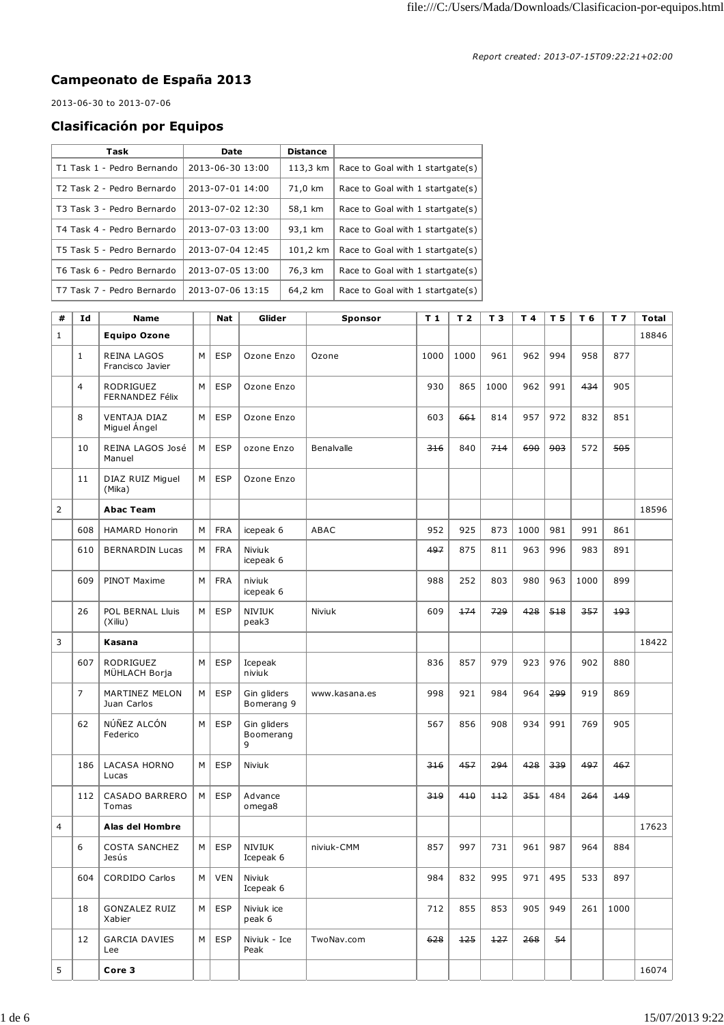## **Campeonato de España 2013**

2013-06-30 to 2013-07-06

## **Clasificación por Equipos**

| Task                       | Date             | <b>Distance</b> |                                  |
|----------------------------|------------------|-----------------|----------------------------------|
| T1 Task 1 - Pedro Bernando | 2013-06-30 13:00 | 113,3 km        | Race to Goal with 1 startgate(s) |
| T2 Task 2 - Pedro Bernardo | 2013-07-01 14:00 | 71,0 km         | Race to Goal with 1 startgate(s) |
| T3 Task 3 - Pedro Bernardo | 2013-07-02 12:30 | 58,1 km         | Race to Goal with 1 startgate(s) |
| T4 Task 4 - Pedro Bernardo | 2013-07-03 13:00 | 93,1 km         | Race to Goal with 1 startgate(s) |
| T5 Task 5 - Pedro Bernardo | 2013-07-04 12:45 | 101.2 km        | Race to Goal with 1 startgate(s) |
| T6 Task 6 - Pedro Bernardo | 2013-07-05 13:00 | 76.3 km         | Race to Goal with 1 startgate(s) |
| T7 Task 7 - Pedro Bernardo | 2013-07-06 13:15 | 64,2 km         | Race to Goal with 1 startgate(s) |

| #              | Id  | <b>Name</b>                         |   | <b>Nat</b> | Glider                        | Sponsor       | T <sub>1</sub> | T <sub>2</sub> | T 3   | T 4  | T 5 | T 6  | T <sub>7</sub> | <b>Total</b> |
|----------------|-----|-------------------------------------|---|------------|-------------------------------|---------------|----------------|----------------|-------|------|-----|------|----------------|--------------|
| $\mathbf{1}$   |     | <b>Equipo Ozone</b>                 |   |            |                               |               |                |                |       |      |     |      |                | 18846        |
|                | 1   | REINA LAGOS<br>Francisco Javier     | М | <b>ESP</b> | Ozone Enzo                    | Ozone         | 1000           | 1000           | 961   | 962  | 994 | 958  | 877            |              |
|                | 4   | <b>RODRIGUEZ</b><br>FERNANDEZ Félix | М | <b>ESP</b> | Ozone Enzo                    |               | 930            | 865            | 1000  | 962  | 991 | 434  | 905            |              |
|                | 8   | <b>VENTAJA DIAZ</b><br>Miguel Ángel | М | <b>ESP</b> | Ozone Enzo                    |               | 603            | 661            | 814   | 957  | 972 | 832  | 851            |              |
|                | 10  | REINA LAGOS José<br>Manuel          | M | <b>ESP</b> | ozone Enzo                    | Benalvalle    | 316            | 840            | 714   | 690  | 903 | 572  | 505            |              |
|                | 11  | DIAZ RUIZ Miguel<br>(Mika)          | M | <b>ESP</b> | Ozone Enzo                    |               |                |                |       |      |     |      |                |              |
| $\overline{2}$ |     | <b>Abac Team</b>                    |   |            |                               |               |                |                |       |      |     |      |                | 18596        |
|                | 608 | <b>HAMARD Honorin</b>               | M | <b>FRA</b> | icepeak 6                     | ABAC          | 952            | 925            | 873   | 1000 | 981 | 991  | 861            |              |
|                | 610 | <b>BERNARDIN Lucas</b>              | М | <b>FRA</b> | Niviuk<br>icepeak 6           |               | 497            | 875            | 811   | 963  | 996 | 983  | 891            |              |
|                | 609 | PINOT Maxime                        | M | <b>FRA</b> | niviuk<br>icepeak 6           |               | 988            | 252            | 803   | 980  | 963 | 1000 | 899            |              |
|                | 26  | POL BERNAL Lluis<br>(Xiliu)         | M | <b>ESP</b> | <b>NIVIUK</b><br>peak3        | Niviuk        | 609            | 174            | 729   | 428  | 518 | 357  | 193            |              |
| 3              |     | Kasana                              |   |            |                               |               |                |                |       |      |     |      |                | 18422        |
|                | 607 | RODRIGUEZ<br>MÜHLACH Borja          | М | <b>ESP</b> | Icepeak<br>niviuk             |               | 836            | 857            | 979   | 923  | 976 | 902  | 880            |              |
|                | 7   | MARTINEZ MELON<br>Juan Carlos       | М | <b>ESP</b> | Gin gliders<br>Bomerang 9     | www.kasana.es | 998            | 921            | 984   | 964  | ووج | 919  | 869            |              |
|                | 62  | NÚÑEZ ALCÓN<br>Federico             | М | <b>ESP</b> | Gin gliders<br>Boomerang<br>9 |               | 567            | 856            | 908   | 934  | 991 | 769  | 905            |              |
|                | 186 | <b>LACASA HORNO</b><br>Lucas        | M | <b>ESP</b> | Niviuk                        |               | 316            | 457            | 294   | 428  | 339 | 497  | 467            |              |
|                | 112 | CASADO BARRERO<br>Tomas             | М | <b>ESP</b> | Advance<br>omega8             |               | 319            | 410            | $+12$ | 351  | 484 | 264  | 149            |              |
| $\overline{4}$ |     | Alas del Hombre                     |   |            |                               |               |                |                |       |      |     |      |                | 17623        |
|                | 6   | <b>COSTA SANCHEZ</b><br>Jesus       | M | <b>ESP</b> | <b>NIVIUK</b><br>Icepeak 6    | niviuk-CMM    | 857            | 997            | 731   | 961  | 987 | 964  | 884            |              |
|                | 604 | <b>CORDIDO Carlos</b>               | М | <b>VEN</b> | Niviuk<br>Icepeak 6           |               | 984            | 832            | 995   | 971  | 495 | 533  | 897            |              |
|                | 18  | GONZALEZ RUIZ<br>Xabier             | М | <b>ESP</b> | Niviuk ice<br>peak 6          |               | 712            | 855            | 853   | 905  | 949 | 261  | 1000           |              |
|                | 12  | <b>GARCIA DAVIES</b><br>Lee         | М | <b>ESP</b> | Niviuk - Ice<br>Peak          | TwoNav.com    | 628            | 125            | 127   | 268  | 54  |      |                |              |
| 5              |     | Core 3                              |   |            |                               |               |                |                |       |      |     |      |                | 16074        |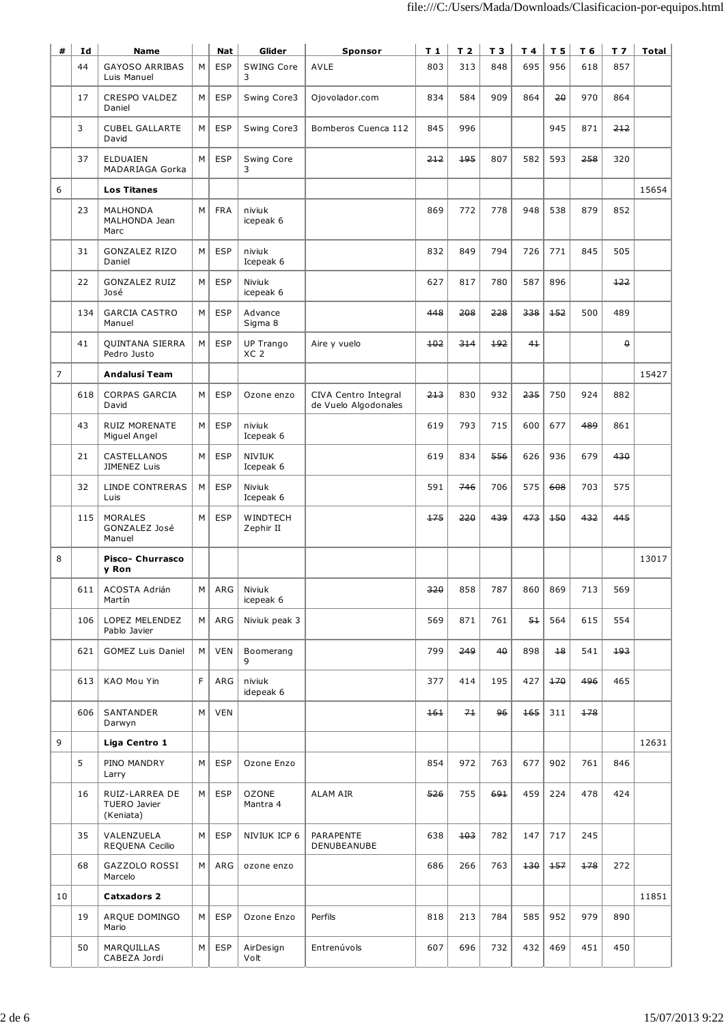| #              | Id  | Name                                        |   | Nat        | Glider                       | Sponsor                                      | T 1 | T <sub>2</sub> | T 3 | T 4   | T <sub>5</sub> | T 6 | T <sub>7</sub> | Total |
|----------------|-----|---------------------------------------------|---|------------|------------------------------|----------------------------------------------|-----|----------------|-----|-------|----------------|-----|----------------|-------|
|                | 44  | GAYOSO ARRIBAS<br>Luis Manuel               | M | <b>ESP</b> | SWING Core<br>3              | <b>AVLE</b>                                  | 803 | 313            | 848 | 695   | 956            | 618 | 857            |       |
|                | 17  | <b>CRESPO VALDEZ</b><br>Daniel              | M | <b>ESP</b> | Swing Core3                  | Ojovolador.com                               | 834 | 584            | 909 | 864   | 20             | 970 | 864            |       |
|                | 3   | <b>CUBEL GALLARTE</b><br>David              | M | <b>ESP</b> | Swing Core3                  | Bomberos Cuenca 112                          | 845 | 996            |     |       | 945            | 871 | 212            |       |
|                | 37  | <b>ELDUAIEN</b><br>MADARIAGA Gorka          | M | <b>ESP</b> | Swing Core<br>3              |                                              | 212 | 195            | 807 | 582   | 593            | 258 | 320            |       |
| 6              |     | <b>Los Titanes</b>                          |   |            |                              |                                              |     |                |     |       |                |     |                | 15654 |
|                | 23  | MALHONDA<br>MALHONDA Jean<br>Marc           | M | <b>FRA</b> | niviuk<br>icepeak 6          |                                              | 869 | 772            | 778 | 948   | 538            | 879 | 852            |       |
|                | 31  | <b>GONZALEZ RIZO</b><br>Daniel              | М | <b>ESP</b> | niviuk<br>Icepeak 6          |                                              | 832 | 849            | 794 | 726   | 771            | 845 | 505            |       |
|                | 22  | <b>GONZALEZ RUIZ</b><br>José                | M | <b>ESP</b> | Niviuk<br>icepeak 6          |                                              | 627 | 817            | 780 | 587   | 896            |     | 122            |       |
|                | 134 | <b>GARCIA CASTRO</b><br>Manuel              | M | <b>ESP</b> | Advance<br>Sigma 8           |                                              | 448 | 208            | 228 | 338   | 152            | 500 | 489            |       |
|                | 41  | QUINTANA SIERRA<br>Pedro Justo              | M | <b>ESP</b> | UP Trango<br>XC <sub>2</sub> | Aire y vuelo                                 | 102 | 314            | 192 | 41    |                |     | $\theta$       |       |
| $\overline{7}$ |     | Andalusí Team                               |   |            |                              |                                              |     |                |     |       |                |     |                | 15427 |
|                | 618 | <b>CORPAS GARCIA</b><br>David               | M | <b>ESP</b> | Ozone enzo                   | CIVA Centro Integral<br>de Vuelo Algodonales | 213 | 830            | 932 | 235   | 750            | 924 | 882            |       |
|                | 43  | RUIZ MORENATE<br>Miguel Angel               | М | <b>ESP</b> | niviuk<br>Icepeak 6          |                                              | 619 | 793            | 715 | 600   | 677            | 489 | 861            |       |
|                | 21  | CASTELLANOS<br>JIMENEZ Luis                 | М | <b>ESP</b> | <b>NIVIUK</b><br>Icepeak 6   |                                              | 619 | 834            | 556 | 626   | 936            | 679 | 430            |       |
|                | 32  | LINDE CONTRERAS<br>Luis                     | М | <b>ESP</b> | Niviuk<br>Icepeak 6          |                                              | 591 | 746            | 706 | 575   | 608            | 703 | 575            |       |
|                | 115 | <b>MORALES</b><br>GONZALEZ José<br>Manuel   | M | <b>ESP</b> | WINDTECH<br>Zephir II        |                                              | 175 | 220            | 439 | 473   | 150            | 432 | 445            |       |
| 8              |     | Pisco- Churrasco<br>y Ron                   |   |            |                              |                                              |     |                |     |       |                |     |                | 13017 |
|                | 611 | ACOSTA Adrián<br>Martín                     | M | ARG        | Niviuk<br>icepeak 6          |                                              | 320 | 858            | 787 | 860   | 869            | 713 | 569            |       |
|                | 106 | LOPEZ MELENDEZ<br>Pablo Javier              | М | ARG        | Niviuk peak 3                |                                              | 569 | 871            | 761 | $5+$  | 564            | 615 | 554            |       |
|                | 621 | <b>GOMEZ Luis Daniel</b>                    | М | <b>VEN</b> | Boomerang<br>9               |                                              | 799 | 249            | 40  | 898   | $+8$           | 541 | 193            |       |
|                | 613 | KAO Mou Yin                                 | F | ARG        | niviuk<br>idepeak 6          |                                              | 377 | 414            | 195 | 427   | 170            | 496 | 465            |       |
|                | 606 | SANTANDER<br>Darwyn                         | М | <b>VEN</b> |                              |                                              | 161 | 71             | 96  | 165   | 311            | 178 |                |       |
| 9              |     | Liga Centro 1                               |   |            |                              |                                              |     |                |     |       |                |     |                | 12631 |
|                | 5   | PINO MANDRY<br>Larry                        | М | <b>ESP</b> | Ozone Enzo                   |                                              | 854 | 972            | 763 | 677   | 902            | 761 | 846            |       |
|                | 16  | RUIZ-LARREA DE<br>TUERO Javier<br>(Keniata) | М | <b>ESP</b> | <b>OZONE</b><br>Mantra 4     | ALAM AIR                                     | 526 | 755            | 691 | 459   | 224            | 478 | 424            |       |
|                | 35  | VALENZUELA<br>REQUENA Cecilio               | М | <b>ESP</b> | NIVIUK ICP 6                 | PARAPENTE<br>DENUBEANUBE                     | 638 | 103            | 782 | 147   | 717            | 245 |                |       |
|                | 68  | GAZZOLO ROSSI<br>Marcelo                    | M | ARG        | ozone enzo                   |                                              | 686 | 266            | 763 | $+30$ | $+57$          | 178 | 272            |       |
| 10             |     | <b>Catxadors 2</b>                          |   |            |                              |                                              |     |                |     |       |                |     |                | 11851 |
|                | 19  | ARQUE DOMINGO<br>Mario                      | M | <b>ESP</b> | Ozone Enzo                   | Perfils                                      | 818 | 213            | 784 | 585   | 952            | 979 | 890            |       |
|                | 50  | MARQUILLAS<br>CABEZA Jordi                  | М | <b>ESP</b> | AirDesign<br>Volt            | Entrenúvols                                  | 607 | 696            | 732 | 432   | 469            | 451 | 450            |       |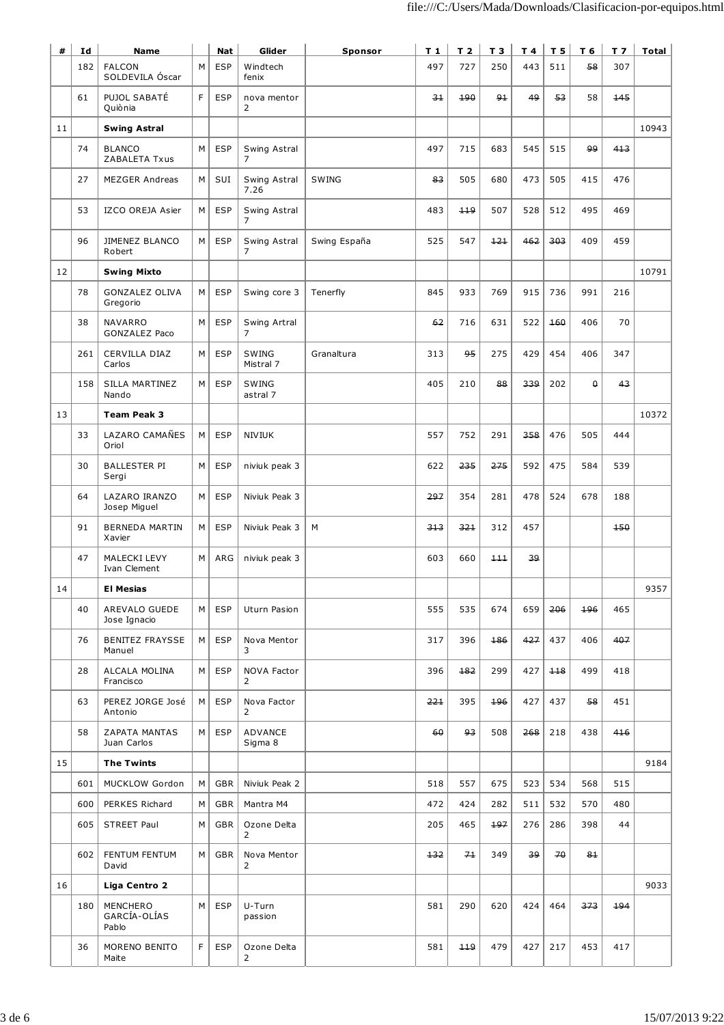| #  | Id  | <b>Name</b>                       |    | Nat        | Glider                                      | Sponsor      | $T_1$ | T <sub>2</sub> | T <sub>3</sub> | T 4 | T <sub>5</sub> | T 6      | T <sub>7</sub> | <b>Total</b> |
|----|-----|-----------------------------------|----|------------|---------------------------------------------|--------------|-------|----------------|----------------|-----|----------------|----------|----------------|--------------|
|    | 182 | <b>FALCON</b><br>SOLDEVILA Óscar  | М  | <b>ESP</b> | Windtech<br>fenix                           |              | 497   | 727            | 250            | 443 | 511            | 58       | 307            |              |
|    | 61  | PUJOL SABATÉ<br>Quiònia           | F  | <b>ESP</b> | nova mentor<br>2                            |              | 31    | 190            | $9+$           | 49  | 53             | 58       | 145            |              |
| 11 |     | <b>Swing Astral</b>               |    |            |                                             |              |       |                |                |     |                |          |                | 10943        |
|    | 74  | <b>BLANCO</b><br>ZABALETA Txus    | M  | <b>ESP</b> | Swing Astral<br>$\overline{7}$              |              | 497   | 715            | 683            | 545 | 515            | وو       | 413            |              |
|    | 27  | <b>MEZGER Andreas</b>             | M  | SUI        | Swing Astral<br>7.26                        | <b>SWING</b> | 83    | 505            | 680            | 473 | 505            | 415      | 476            |              |
|    | 53  | IZCO OREJA Asier                  | M  | <b>ESP</b> | Swing Astral<br>7                           |              | 483   | 119            | 507            | 528 | 512            | 495      | 469            |              |
|    | 96  | JIMENEZ BLANCO<br>Robert          | M  | <b>ESP</b> | Swing Astral<br>7                           | Swing España | 525   | 547            | 121            | 462 | 303            | 409      | 459            |              |
| 12 |     | <b>Swing Mixto</b>                |    |            |                                             |              |       |                |                |     |                |          |                | 10791        |
|    | 78  | GONZALEZ OLIVA<br>Gregorio        | M  | <b>ESP</b> | Swing core 3                                | Tenerfly     | 845   | 933            | 769            | 915 | 736            | 991      | 216            |              |
|    | 38  | NAVARRO<br>GONZALEZ Paco          | M  | <b>ESP</b> | Swing Artral<br>$\overline{7}$              |              | 62    | 716            | 631            | 522 | 160            | 406      | 70             |              |
|    | 261 | CERVILLA DIAZ<br>Carlos           | М  | <b>ESP</b> | SWING<br>Mistral 7                          | Granaltura   | 313   | 95             | 275            | 429 | 454            | 406      | 347            |              |
|    | 158 | SILLA MARTINEZ<br>Nando           | м  | <b>ESP</b> | SWING<br>astral 7                           |              | 405   | 210            | 88             | 339 | 202            | $\theta$ | 43             |              |
| 13 |     | <b>Team Peak 3</b>                |    |            |                                             |              |       |                |                |     |                |          |                | 10372        |
|    | 33  | LAZARO CAMAÑES<br>Oriol           | M  | <b>ESP</b> | NIVIUK                                      |              | 557   | 752            | 291            | 358 | 476            | 505      | 444            |              |
|    | 30  | <b>BALLESTER PI</b><br>Sergi      | M  | <b>ESP</b> | niviuk peak 3                               |              | 622   | 235            | 275            | 592 | 475            | 584      | 539            |              |
|    | 64  | LAZARO IRANZO<br>Josep Miguel     | M  | <b>ESP</b> | Niviuk Peak 3                               |              | 297   | 354            | 281            | 478 | 524            | 678      | 188            |              |
|    | 91  | <b>BERNEDA MARTIN</b><br>Xavier   | M  | <b>ESP</b> | Niviuk Peak 3                               | M            | 313   | 321            | 312            | 457 |                |          | $+50$          |              |
|    | 47  | MALECKI LEVY<br>Ivan Clement      | M  | ARG        | niviuk peak 3                               |              | 603   | 660            | 111            | 39  |                |          |                |              |
| 14 |     | <b>El Mesias</b>                  |    |            |                                             |              |       |                |                |     |                |          |                | 9357         |
|    | 40  | AREVALO GUEDE<br>Jose Ignacio     | М  | <b>ESP</b> | Uturn Pasion                                |              | 555   | 535            | 674            | 659 | 206            | 196      | 465            |              |
|    | 76  | BENITEZ FRAYSSE<br>Manuel         | мı | <b>ESP</b> | Nova Mentor<br>3                            |              | 317   | 396            | 186            | 427 | 437            | 406      | 407            |              |
|    | 28  | ALCALA MOLINA<br>Francisco        | M  | ESP        | <b>NOVA Factor</b><br>$\mathbf{2}^{\prime}$ |              | 396   | 182            | 299            | 427 | $+18$          | 499      | 418            |              |
|    | 63  | PEREZ JORGE José<br>Antonio       | м  | <b>ESP</b> | Nova Factor<br>$\mathbf{2}^{\prime}$        |              | 221   | 395            | 196            | 427 | 437            | 58       | 451            |              |
|    | 58  | ZAPATA MANTAS<br>Juan Carlos      | м  | <b>ESP</b> | ADVANCE<br>Sigma 8                          |              | 60    | 93             | 508            | 268 | 218            | 438      | 416            |              |
| 15 |     | <b>The Twints</b>                 |    |            |                                             |              |       |                |                |     |                |          |                | 9184         |
|    | 601 | MUCKLOW Gordon                    | M  | <b>GBR</b> | Niviuk Peak 2                               |              | 518   | 557            | 675            | 523 | 534            | 568      | 515            |              |
|    | 600 | PERKES Richard                    | М  | GBR        | Mantra M4                                   |              | 472   | 424            | 282            | 511 | 532            | 570      | 480            |              |
|    | 605 | STREET Paul                       | м  | GBR        | Ozone Delta<br>2                            |              | 205   | 465            | 197            | 276 | 286            | 398      | 44             |              |
|    | 602 | FENTUM FENTUM<br>David            | м  | GBR        | Nova Mentor<br>2                            |              | $+32$ | 71             | 349            | 39  | 70             | 81       |                |              |
| 16 |     | Liga Centro 2                     |    |            |                                             |              |       |                |                |     |                |          |                | 9033         |
|    | 180 | MENCHERO<br>GARCÍA-OLÍAS<br>Pablo | м  | <b>ESP</b> | U-Turn<br>passion                           |              | 581   | 290            | 620            | 424 | 464            | 373      | 494            |              |
|    | 36  | MORENO BENITO<br>Maite            | F  | <b>ESP</b> | Ozone Delta<br>2                            |              | 581   | 119            | 479            | 427 | 217            | 453      | 417            |              |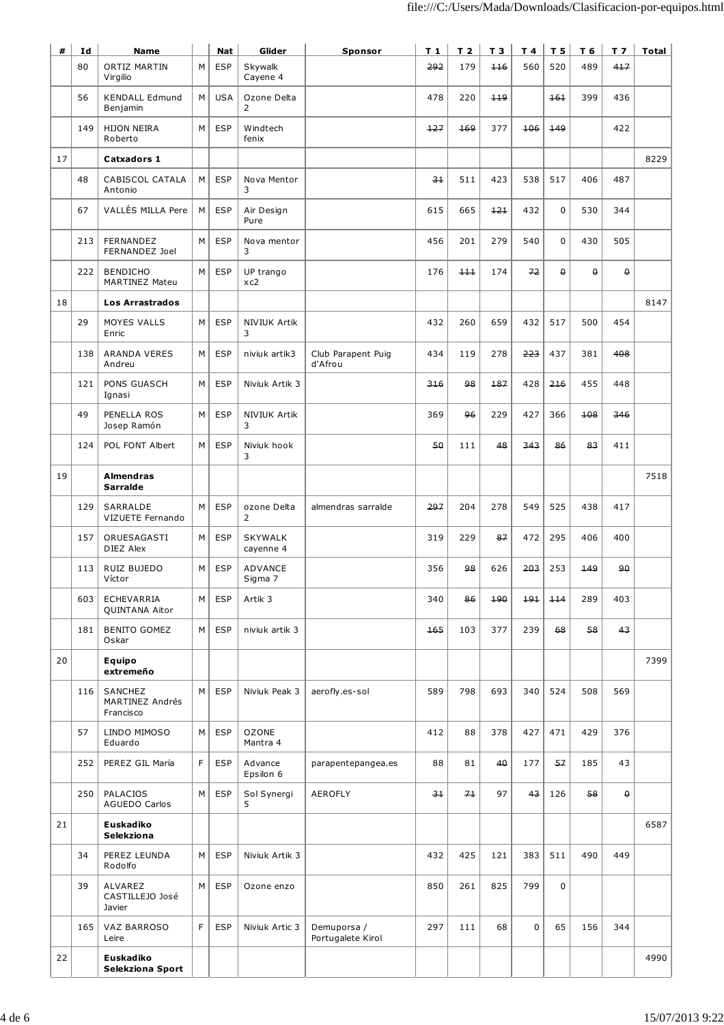| #  | Id  | <b>Name</b>                             |   | <b>Nat</b> | Glider                        | Sponsor                          | T <sub>1</sub> | T <sub>2</sub> | T 3 | T 4         | <u>T 5</u> | T 6      | T <sub>7</sub> | <b>Total</b> |
|----|-----|-----------------------------------------|---|------------|-------------------------------|----------------------------------|----------------|----------------|-----|-------------|------------|----------|----------------|--------------|
|    | 80  | ORTIZ MARTIN<br>Virgilio                | M | <b>ESP</b> | Skywalk<br>Cayene 4           |                                  | 292            | 179            | 116 | 560         | 520        | 489      | 417            |              |
|    | 56  | <b>KENDALL Edmund</b><br>Benjamin       | M | <b>USA</b> | Ozone Delta<br>$\overline{2}$ |                                  | 478            | 220            | 119 |             | 161        | 399      | 436            |              |
|    | 149 | <b>HIJON NEIRA</b><br>Roberto           | M | <b>ESP</b> | Windtech<br>fenix             |                                  | 127            | 169            | 377 | 106         | 149        |          | 422            |              |
| 17 |     | Catxadors 1                             |   |            |                               |                                  |                |                |     |             |            |          |                | 8229         |
|    | 48  | CABISCOL CATALA<br>Antonio              | M | <b>ESP</b> | Nova Mentor<br>3              |                                  | $3+$           | 511            | 423 | 538         | 517        | 406      | 487            |              |
|    | 67  | VALLÈS MILLA Pere                       | M | <b>ESP</b> | Air Design<br>Pure            |                                  | 615            | 665            | 121 | 432         | 0          | 530      | 344            |              |
|    | 213 | FERNANDEZ<br>FERNANDEZ Joel             | M | <b>ESP</b> | Nova mentor<br>3              |                                  | 456            | 201            | 279 | 540         | 0          | 430      | 505            |              |
|    | 222 | <b>BENDICHO</b><br>MARTINEZ Mateu       | M | <b>ESP</b> | UP trango<br>xc2              |                                  | 176            | 111            | 174 | 72          | $\theta$   | $\theta$ | $\theta$       |              |
| 18 |     | <b>Los Arrastrados</b>                  |   |            |                               |                                  |                |                |     |             |            |          |                | 8147         |
|    | 29  | MOYES VALLS<br>Enric                    | M | <b>ESP</b> | NIVIUK Artik<br>3             |                                  | 432            | 260            | 659 | 432         | 517        | 500      | 454            |              |
|    | 138 | <b>ARANDA VERES</b><br>Andreu           | М | <b>ESP</b> | niviuk artik3                 | Club Parapent Puig<br>d'Afrou    | 434            | 119            | 278 | 223         | 437        | 381      | 408            |              |
|    | 121 | PONS GUASCH<br>Ignasi                   | М | <b>ESP</b> | Niviuk Artik 3                |                                  | 316            | 98             | 187 | 428         | 216        | 455      | 448            |              |
|    | 49  | PENELLA ROS<br>Josep Ramón              | M | <b>ESP</b> | NIVIUK Artik<br>3             |                                  | 369            | 96             | 229 | 427         | 366        | 108      | 346            |              |
|    | 124 | POL FONT Albert                         | M | <b>ESP</b> | Niviuk hook<br>3              |                                  | 50             | 111            | 48  | 343         | 86         | 83       | 411            |              |
| 19 |     | Almendras<br>Sarralde                   |   |            |                               |                                  |                |                |     |             |            |          |                | 7518         |
|    | 129 | SARRALDE<br>VIZUETE Fernando            | M | <b>ESP</b> | ozone Delta<br>$\overline{2}$ | almendras sarralde               | 297            | 204            | 278 | 549         | 525        | 438      | 417            |              |
|    | 157 | ORUESAGASTI<br>DIEZ Alex                | M | <b>ESP</b> | <b>SKYWALK</b><br>cayenne 4   |                                  | 319            | 229            | 87  | 472         | 295        | 406      | 400            |              |
|    | 113 | RUIZ BUJEDO<br>Víctor                   | M | <b>ESP</b> | ADVANCE<br>Sigma 7            |                                  | 356            | 98             | 626 | 203         | 253        | 149      | هو             |              |
|    | 603 | ECHEVARRIA<br>QUINTANA Aitor            | м | <b>ESP</b> | Artik 3                       |                                  | 340            | 86             | 190 | 191         | 114        | 289      | 403            |              |
|    | 181 | <b>BENITO GOMEZ</b><br>Oskar            | M | <b>ESP</b> | niviuk artik 3                |                                  | 165            | 103            | 377 | 239         | 68         | 58       | 43             |              |
| 20 |     | Equipo<br>extremeño                     |   |            |                               |                                  |                |                |     |             |            |          |                | 7399         |
|    | 116 | SANCHEZ<br>MARTINEZ Andrés<br>Francisco | M | <b>ESP</b> | Niviuk Peak 3                 | aerofly.es-sol                   | 589            | 798            | 693 | 340         | 524        | 508      | 569            |              |
|    | 57  | LINDO MIMOSO<br>Eduardo                 | M | <b>ESP</b> | <b>OZONE</b><br>Mantra 4      |                                  | 412            | 88             | 378 | 427         | 471        | 429      | 376            |              |
|    | 252 | PEREZ GIL María                         | F | <b>ESP</b> | Advance<br>Epsilon 6          | parapentepangea.es               | 88             | 81             | 40  | 177         | 57         | 185      | 43             |              |
|    | 250 | PALACIOS<br><b>AGUEDO Carlos</b>        | M | <b>ESP</b> | Sol Synergi<br>5              | AEROFLY                          | $-3+$          | 71             | 97  | 43          | 126        | 58       | $\theta$       |              |
| 21 |     | Euskadiko<br>Selekziona                 |   |            |                               |                                  |                |                |     |             |            |          |                | 6587         |
|    | 34  | PEREZ LEUNDA<br>Rodolfo                 | M | <b>ESP</b> | Niviuk Artik 3                |                                  | 432            | 425            | 121 | 383         | 511        | 490      | 449            |              |
|    | 39  | ALVAREZ<br>CASTILLEJO José<br>Javier    | M | <b>ESP</b> | Ozone enzo                    |                                  | 850            | 261            | 825 | 799         | 0          |          |                |              |
|    | 165 | VAZ BARROSO<br>Leire                    | F | <b>ESP</b> | Niviuk Artic 3                | Demuporsa /<br>Portugalete Kirol | 297            | 111            | 68  | $\mathbf 0$ | 65         | 156      | 344            |              |
| 22 |     | Euskadiko<br>Selekziona Sport           |   |            |                               |                                  |                |                |     |             |            |          |                | 4990         |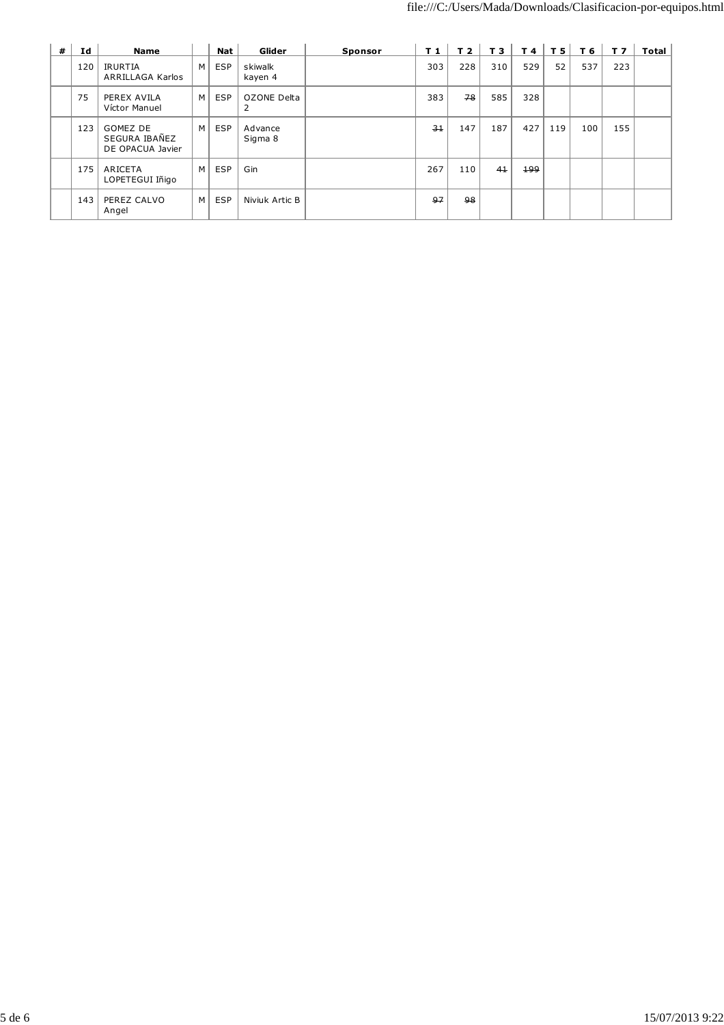| # | Id  | Name                                                 |   | Nat        | Glider             | <b>Sponsor</b> | T 1 | T 2 | T 3 | $T$ 4 $\vert$ | T <sub>5</sub> | T 6 | T <sub>7</sub> | Total |
|---|-----|------------------------------------------------------|---|------------|--------------------|----------------|-----|-----|-----|---------------|----------------|-----|----------------|-------|
|   | 120 | IRURTIA<br>ARRILLAGA Karlos                          | M | <b>ESP</b> | skiwalk<br>kayen 4 |                | 303 | 228 | 310 | 529           | 52             | 537 | 223            |       |
|   | 75  | PEREX AVILA<br>Víctor Manuel                         | M | <b>ESP</b> | OZONE Delta<br>2   |                | 383 | 78  | 585 | 328           |                |     |                |       |
|   | 123 | <b>GOMEZ DE</b><br>SEGURA IBAÑEZ<br>DE OPACUA Javier | M | <b>ESP</b> | Advance<br>Sigma 8 |                | 31  | 147 | 187 | 427           | 119            | 100 | 155            |       |
|   | 175 | ARICETA<br>LOPETEGUI Iñigo                           | M | <b>ESP</b> | Gin                |                | 267 | 110 | 41  | 199           |                |     |                |       |
|   | 143 | PEREZ CALVO<br>Angel                                 | M | <b>ESP</b> | Niviuk Artic B     |                | 97  | 98  |     |               |                |     |                |       |